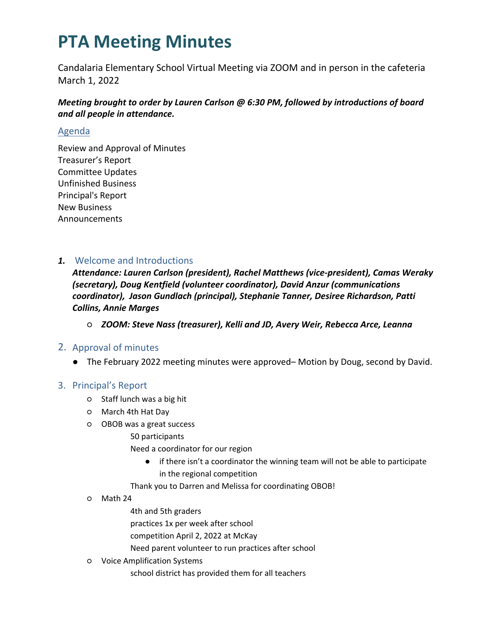Candalaria Elementary School Virtual Meeting via ZOOM and in person in the cafeteria March 1, 2022

*Meeting brought to order by Lauren Carlson @ 6:30 PM, followed by introductions of board and all people in attendance.*

#### Agenda

Review and Approval of Minutes Treasurer's Report Committee Updates Unfinished Business Principal's Report New Business Announcements

### *1.* Welcome and Introductions

*Attendance: Lauren Carlson (president), Rachel Matthews (vice-president), Camas Weraky (secretary), Doug Kentfield (volunteer coordinator), David Anzur (communications coordinator), Jason Gundlach (principal), Stephanie Tanner, Desiree Richardson, Patti Collins, Annie Marges*

○ *ZOOM: Steve Nass (treasurer), Kelli and JD, Avery Weir, Rebecca Arce, Leanna*

### 2. Approval of minutes

● The February 2022 meeting minutes were approved– Motion by Doug, second by David.

#### 3. Principal's Report

- Staff lunch was a big hit
- March 4th Hat Day
- OBOB was a great success
	- 50 participants
		- Need a coordinator for our region
			- if there isn't a coordinator the winning team will not be able to participate in the regional competition
	- Thank you to Darren and Melissa for coordinating OBOB!
- Math 24
	- 4th and 5th graders
	- practices 1x per week after school
	- competition April 2, 2022 at McKay
	- Need parent volunteer to run practices after school
- Voice Amplification Systems
	- school district has provided them for all teachers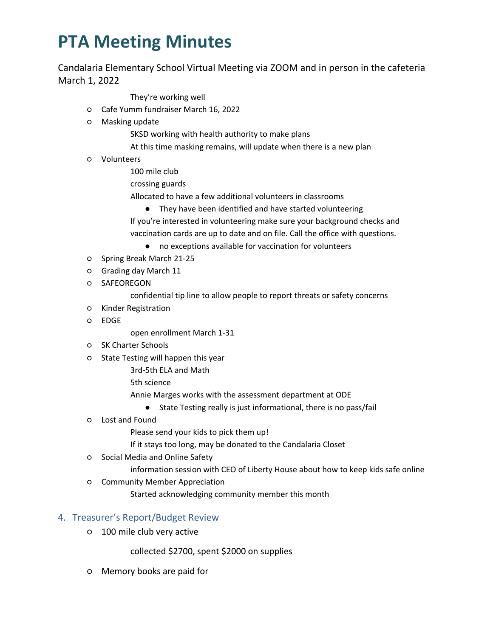Candalaria Elementary School Virtual Meeting via ZOOM and in person in the cafeteria March 1, 2022

They're working well

- Cafe Yumm fundraiser March 16, 2022
- Masking update

SKSD working with health authority to make plans

- At this time masking remains, will update when there is a new plan
- Volunteers
	- 100 mile club
	- crossing guards

Allocated to have a few additional volunteers in classrooms

● They have been identified and have started volunteering

If you're interested in volunteering make sure your background checks and vaccination cards are up to date and on file. Call the office with questions.

- no exceptions available for vaccination for volunteers
- Spring Break March 21-25
- Grading day March 11
- SAFEOREGON

confidential tip line to allow people to report threats or safety concerns

- Kinder Registration
- EDGE

open enrollment March 1-31

- SK Charter Schools
- State Testing will happen this year

3rd-5th ELA and Math

5th science

Annie Marges works with the assessment department at ODE

- State Testing really is just informational, there is no pass/fail
- Lost and Found

Please send your kids to pick them up!

If it stays too long, may be donated to the Candalaria Closet

- Social Media and Online Safety
	- information session with CEO of Liberty House about how to keep kids safe online
- Community Member Appreciation

Started acknowledging community member this month

#### 4. Treasurer's Report/Budget Review

○ 100 mile club very active

collected \$2700, spent \$2000 on supplies

○ Memory books are paid for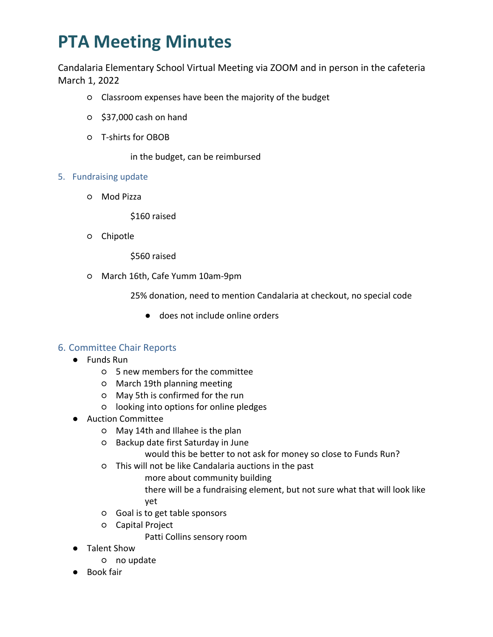Candalaria Elementary School Virtual Meeting via ZOOM and in person in the cafeteria March 1, 2022

- Classroom expenses have been the majority of the budget
- \$37,000 cash on hand
- T-shirts for OBOB

in the budget, can be reimbursed

- 5. Fundraising update
	- Mod Pizza

\$160 raised

○ Chipotle

\$560 raised

○ March 16th, Cafe Yumm 10am-9pm

25% donation, need to mention Candalaria at checkout, no special code

● does not include online orders

### 6. Committee Chair Reports

- Funds Run
	- 5 new members for the committee
	- March 19th planning meeting
	- May 5th is confirmed for the run
	- looking into options for online pledges
- Auction Committee
	- May 14th and Illahee is the plan
	- Backup date first Saturday in June

would this be better to not ask for money so close to Funds Run?

- This will not be like Candalaria auctions in the past
	- more about community building

there will be a fundraising element, but not sure what that will look like yet

- Goal is to get table sponsors
- Capital Project

Patti Collins sensory room

- **Talent Show** 
	- no update
- Book fair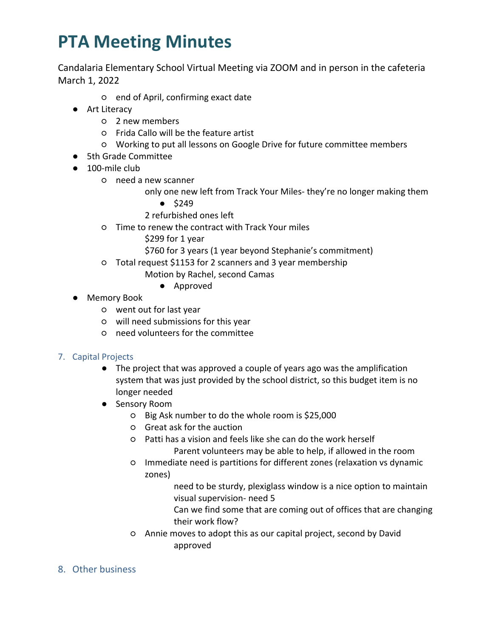Candalaria Elementary School Virtual Meeting via ZOOM and in person in the cafeteria March 1, 2022

- end of April, confirming exact date
- Art Literacy
	- 2 new members
	- Frida Callo will be the feature artist
	- Working to put all lessons on Google Drive for future committee members
- 5th Grade Committee
- $\bullet$  100-mile club
	- need a new scanner
		- only one new left from Track Your Miles- they're no longer making them
			- \$249
		- 2 refurbished ones left
	- Time to renew the contract with Track Your miles
		- \$299 for 1 year
		- \$760 for 3 years (1 year beyond Stephanie's commitment)
	- Total request \$1153 for 2 scanners and 3 year membership
		- Motion by Rachel, second Camas
			- Approved
- Memory Book
	- went out for last year
	- will need submissions for this year
	- need volunteers for the committee

### 7. Capital Projects

- The project that was approved a couple of years ago was the amplification system that was just provided by the school district, so this budget item is no longer needed
- Sensory Room
	- Big Ask number to do the whole room is \$25,000
	- Great ask for the auction
	- Patti has a vision and feels like she can do the work herself Parent volunteers may be able to help, if allowed in the room
	- Immediate need is partitions for different zones (relaxation vs dynamic zones)
		- need to be sturdy, plexiglass window is a nice option to maintain visual supervision- need 5
		- Can we find some that are coming out of offices that are changing their work flow?
	- Annie moves to adopt this as our capital project, second by David approved
- 8. Other business